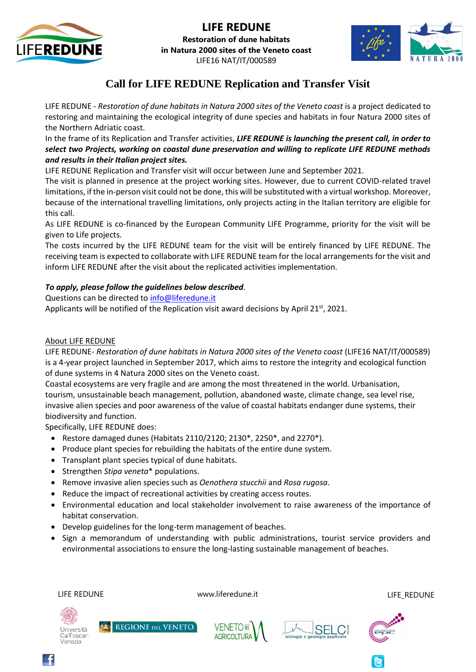



**Restoration of dune habitats in Natura 2000 sites of the Veneto coast**  LIFE16 NAT/IT/000589



# **Call for LIFE REDUNE Replication and Transfer Visit**

LIFE REDUNE - *Restoration of dune habitats in Natura 2000 sites of the Veneto coast* is a project dedicated to restoring and maintaining the ecological integrity of dune species and habitats in four Natura 2000 sites of the Northern Adriatic coast.

In the frame of its Replication and Transfer activities, *LIFE REDUNE is launching the present call, in order to select two Projects, working on coastal dune preservation and willing to replicate LIFE REDUNE methods and results in their Italian project sites.*

LIFE REDUNE Replication and Transfer visit will occur between June and September 2021.

The visit is planned in presence at the project working sites. However, due to current COVID-related travel limitations, if the in-person visit could not be done, this will be substituted with a virtual workshop. Moreover, because of the international travelling limitations, only projects acting in the Italian territory are eligible for this call.

As LIFE REDUNE is co-financed by the European Community LIFE Programme, priority for the visit will be given to Life projects.

The costs incurred by the LIFE REDUNE team for the visit will be entirely financed by LIFE REDUNE. The receiving team is expected to collaborate with LIFE REDUNE team for the local arrangements for the visit and inform LIFE REDUNE after the visit about the replicated activities implementation.

## *To apply, please follow the guidelines below described.*

Questions can be directed to [info@liferedune.it](mailto:info@liferedune.it)

Applicants will be notified of the Replication visit award decisions by April 21<sup>st</sup>, 2021.

### About LIFE REDUNE

LIFE REDUNE- *Restoration of dune habitats in Natura 2000 sites of the Veneto coast* (LIFE16 NAT/IT/000589) is a 4-year project launched in September 2017, which aims to restore the integrity and ecological function of dune systems in 4 Natura 2000 sites on the Veneto coast.

Coastal ecosystems are very fragile and are among the most threatened in the world. Urbanisation, tourism, unsustainable beach management, pollution, abandoned waste, climate change, sea level rise, invasive alien species and poor awareness of the value of coastal habitats endanger dune systems, their biodiversity and function.

Specifically, LIFE REDUNE does:

- Restore damaged dunes (Habitats 2110/2120; 2130 $^*$ , 2250 $^*$ , and 2270 $^*$ ).
- Produce plant species for rebuilding the habitats of the entire dune system.
- Transplant plant species typical of dune habitats.

**REGIONE DEL VENETO** 

- Strengthen *Stipa veneta*\* populations.
- Remove invasive alien species such as *Oenothera stucchii* and *Rosa rugosa*.
- Reduce the impact of recreational activities by creating access routes.
- Environmental education and local stakeholder involvement to raise awareness of the importance of habitat conservation.
- Develop guidelines for the long-term management of beaches.
- Sign a memorandum of understanding with public administrations, tourist service providers and environmental associations to ensure the long-lasting sustainable management of beaches.

Università Ca'Foscari Venezia

LIFE REDUNE WWW.liferedune.it CHEREDUNE WWW.liferedune.it







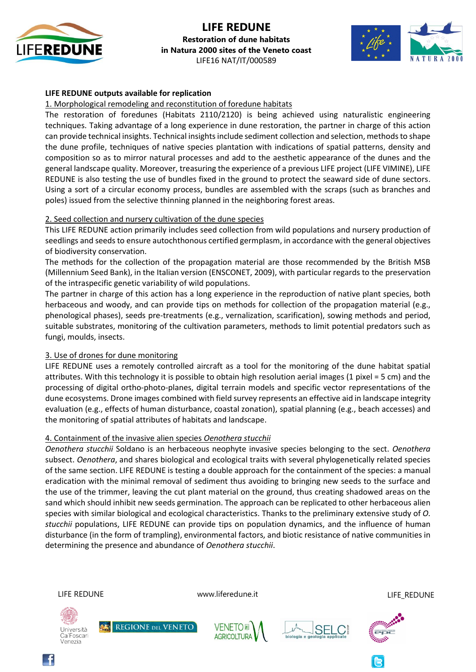

## **LIFE REDUNE Restoration of dune habitats in Natura 2000 sites of the Veneto coast**  LIFE16 NAT/IT/000589



### **LIFE REDUNE outputs available for replication**

1. Morphological remodeling and reconstitution of foredune habitats

The restoration of foredunes (Habitats 2110/2120) is being achieved using naturalistic engineering techniques. Taking advantage of a long experience in dune restoration, the partner in charge of this action can provide technical insights. Technical insights include sediment collection and selection, methods to shape the dune profile, techniques of native species plantation with indications of spatial patterns, density and composition so as to mirror natural processes and add to the aesthetic appearance of the dunes and the general landscape quality. Moreover, treasuring the experience of a previous LIFE project (LIFE VIMINE), LIFE REDUNE is also testing the use of bundles fixed in the ground to protect the seaward side of dune sectors. Using a sort of a circular economy process, bundles are assembled with the scraps (such as branches and poles) issued from the selective thinning planned in the neighboring forest areas.

#### 2. Seed collection and nursery cultivation of the dune species

This LIFE REDUNE action primarily includes seed collection from wild populations and nursery production of seedlings and seeds to ensure autochthonous certified germplasm, in accordance with the general objectives of biodiversity conservation.

The methods for the collection of the propagation material are those recommended by the British MSB (Millennium Seed Bank), in the Italian version (ENSCONET, 2009), with particular regards to the preservation of the intraspecific genetic variability of wild populations.

The partner in charge of this action has a long experience in the reproduction of native plant species, both herbaceous and woody, and can provide tips on methods for collection of the propagation material (e.g., phenological phases), seeds pre-treatments (e.g., vernalization, scarification), sowing methods and period, suitable substrates, monitoring of the cultivation parameters, methods to limit potential predators such as fungi, moulds, insects.

#### 3. Use of drones for dune monitoring

LIFE REDUNE uses a remotely controlled aircraft as a tool for the monitoring of the dune habitat spatial attributes. With this technology it is possible to obtain high resolution aerial images (1 pixel = 5 cm) and the processing of digital ortho-photo-planes, digital terrain models and specific vector representations of the dune ecosystems. Drone images combined with field survey represents an effective aid in landscape integrity evaluation (e.g., effects of human disturbance, coastal zonation), spatial planning (e.g., beach accesses) and the monitoring of spatial attributes of habitats and landscape.

#### 4. Containment of the invasive alien species *Oenothera stucchii*

**REGIONE DEL VENETO** 

*Oenothera stucchii* Soldano is an herbaceous neophyte invasive species belonging to the sect. *Oenothera* subsect. *Oenothera*, and shares biological and ecological traits with several phylogenetically related species of the same section. LIFE REDUNE is testing a double approach for the containment of the species: a manual eradication with the minimal removal of sediment thus avoiding to bringing new seeds to the surface and the use of the trimmer, leaving the cut plant material on the ground, thus creating shadowed areas on the sand which should inhibit new seeds germination. The approach can be replicated to other herbaceous alien species with similar biological and ecological characteristics. Thanks to the preliminary extensive study of *O. stucchii* populations, LIFE REDUNE can provide tips on population dynamics, and the influence of human disturbance (in the form of trampling), environmental factors, and biotic resistance of native communities in determining the presence and abundance of *Oenothera stucchii*.

Università

Venezia

Ca'Foscari

LIFE REDUNE www.liferedune.it LIFE\_REDUNE